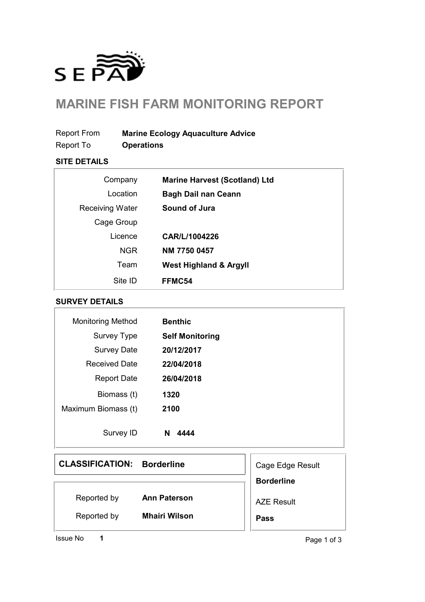

# **MARINE FISH FARM MONITORING REPORT**

Report From **Marine Ecology Aquaculture Advice**

Report To **Operations**

### **SITE DETAILS**

| Company                | <b>Marine Harvest (Scotland) Ltd</b> |
|------------------------|--------------------------------------|
| Location               | <b>Bagh Dail nan Ceann</b>           |
| <b>Receiving Water</b> | Sound of Jura                        |
| Cage Group             |                                      |
| Licence                | CAR/L/1004226                        |
| <b>NGR</b>             | NM 7750 0457                         |
| Team                   | <b>West Highland &amp; Argyll</b>    |
| Site ID                | FFMC54                               |

#### **SURVEY DETAILS**

| <b>Monitoring Method</b> | <b>Benthic</b>         |
|--------------------------|------------------------|
| Survey Type              | <b>Self Monitoring</b> |
| <b>Survey Date</b>       | 20/12/2017             |
| <b>Received Date</b>     | 22/04/2018             |
| <b>Report Date</b>       | 26/04/2018             |
| Biomass (t)              | 1320                   |
| Maximum Biomass (t)      | 2100                   |
| Survey ID                | N<br>4444              |

### **CLASSIFICATION: Borderline**

| Reported by | <b>Ann Paterson</b> |
|-------------|---------------------|
|-------------|---------------------|

**Mhairi Wilson**

Reported by

**1**

Cage Edge Result **Borderline** AZE Result **Pass**

Issue No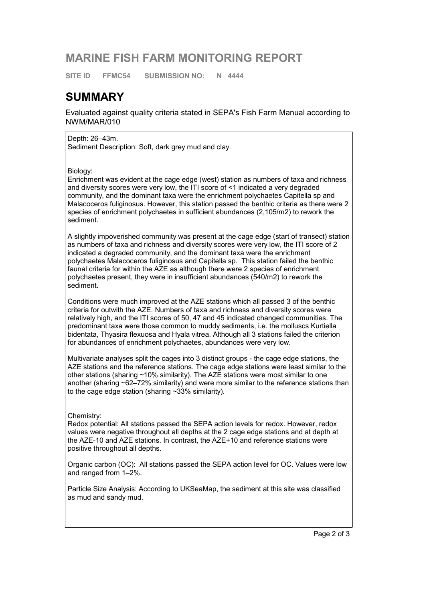### **MARINE FISH FARM MONITORING REPORT**

**SITE ID FFMC54 SUBMISSION NO: N 4444**

### **SUMMARY**

Evaluated against quality criteria stated in SEPA's Fish Farm Manual according to NWM/MAR/010

Depth: 26–43m. Sediment Description: Soft, dark grey mud and clay.

Biology:

Enrichment was evident at the cage edge (west) station as numbers of taxa and richness and diversity scores were very low, the ITI score of <1 indicated a very degraded community, and the dominant taxa were the enrichment polychaetes Capitella sp and Malacoceros fuliginosus. However, this station passed the benthic criteria as there were 2 species of enrichment polychaetes in sufficient abundances (2,105/m2) to rework the sediment.

A slightly impoverished community was present at the cage edge (start of transect) station as numbers of taxa and richness and diversity scores were very low, the ITI score of 2 indicated a degraded community, and the dominant taxa were the enrichment polychaetes Malacoceros fuliginosus and Capitella sp. This station failed the benthic faunal criteria for within the AZE as although there were 2 species of enrichment polychaetes present, they were in insufficient abundances (540/m2) to rework the sediment.

Conditions were much improved at the AZE stations which all passed 3 of the benthic criteria for outwith the AZE. Numbers of taxa and richness and diversity scores were relatively high, and the ITI scores of 50, 47 and 45 indicated changed communities. The predominant taxa were those common to muddy sediments, i.e. the molluscs Kurtiella bidentata, Thyasira flexuosa and Hyala vitrea. Although all 3 stations failed the criterion for abundances of enrichment polychaetes, abundances were very low.

Multivariate analyses split the cages into 3 distinct groups - the cage edge stations, the AZE stations and the reference stations. The cage edge stations were least similar to the other stations (sharing ~10% similarity). The AZE stations were most similar to one another (sharing ~62–72% similarity) and were more similar to the reference stations than to the cage edge station (sharing ~33% similarity).

Chemistry:

Redox potential: All stations passed the SEPA action levels for redox. However, redox values were negative throughout all depths at the 2 cage edge stations and at depth at the AZE-10 and AZE stations. In contrast, the AZE+10 and reference stations were positive throughout all depths.

Organic carbon (OC): All stations passed the SEPA action level for OC. Values were low and ranged from 1–2%.

Particle Size Analysis: According to UKSeaMap, the sediment at this site was classified as mud and sandy mud.